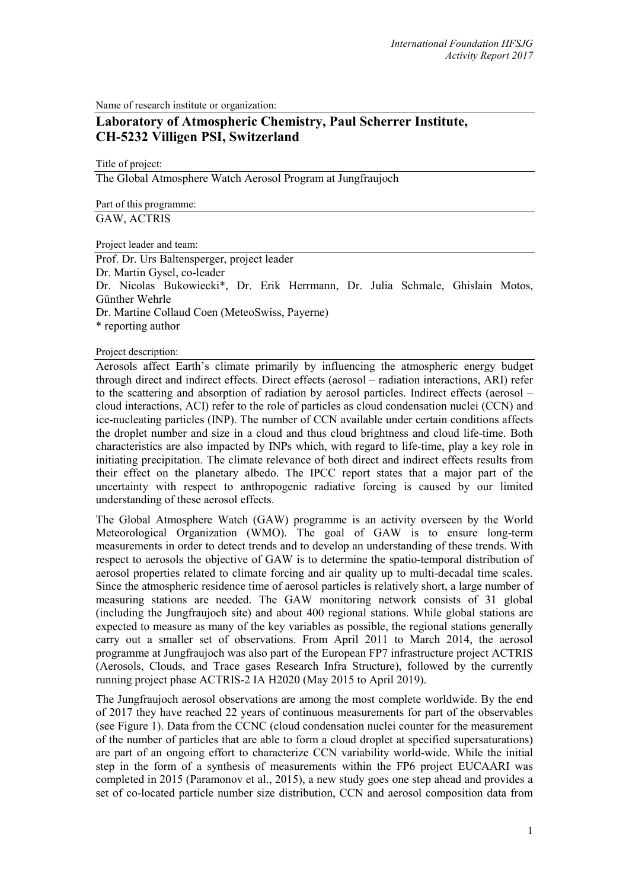Name of research institute or organization:

# **Laboratory of Atmospheric Chemistry, Paul Scherrer Institute, CH-5232 Villigen PSI, Switzerland**

Title of project:

The Global Atmosphere Watch Aerosol Program at Jungfraujoch

Part of this programme: GAW, ACTRIS

Project leader and team:

Prof. Dr. Urs Baltensperger, project leader Dr. Martin Gysel, co-leader Dr. Nicolas Bukowiecki\*, Dr. Erik Herrmann, Dr. Julia Schmale, Ghislain Motos, Günther Wehrle Dr. Martine Collaud Coen (MeteoSwiss, Payerne) \* reporting author

Project description:

Aerosols affect Earth's climate primarily by influencing the atmospheric energy budget through direct and indirect effects. Direct effects (aerosol – radiation interactions, ARI) refer to the scattering and absorption of radiation by aerosol particles. Indirect effects (aerosol – cloud interactions, ACI) refer to the role of particles as cloud condensation nuclei (CCN) and ice-nucleating particles (INP). The number of CCN available under certain conditions affects the droplet number and size in a cloud and thus cloud brightness and cloud life-time. Both characteristics are also impacted by INPs which, with regard to life-time, play a key role in initiating precipitation. The climate relevance of both direct and indirect effects results from their effect on the planetary albedo. The IPCC report states that a major part of the uncertainty with respect to anthropogenic radiative forcing is caused by our limited understanding of these aerosol effects.

The Global Atmosphere Watch (GAW) programme is an activity overseen by the World Meteorological Organization (WMO). The goal of GAW is to ensure long-term measurements in order to detect trends and to develop an understanding of these trends. With respect to aerosols the objective of GAW is to determine the spatio-temporal distribution of aerosol properties related to climate forcing and air quality up to multi-decadal time scales. Since the atmospheric residence time of aerosol particles is relatively short, a large number of measuring stations are needed. The GAW monitoring network consists of 31 global (including the Jungfraujoch site) and about 400 regional stations. While global stations are expected to measure as many of the key variables as possible, the regional stations generally carry out a smaller set of observations. From April 2011 to March 2014, the aerosol programme at Jungfraujoch was also part of the European FP7 infrastructure project ACTRIS (Aerosols, Clouds, and Trace gases Research Infra Structure), followed by the currently running project phase ACTRIS-2 IA H2020 (May 2015 to April 2019).

The Jungfraujoch aerosol observations are among the most complete worldwide. By the end of 2017 they have reached 22 years of continuous measurements for part of the observables (see Figure 1). Data from the CCNC (cloud condensation nuclei counter for the measurement of the number of particles that are able to form a cloud droplet at specified supersaturations) are part of an ongoing effort to characterize CCN variability world-wide. While the initial step in the form of a synthesis of measurements within the FP6 project EUCAARI was completed in 2015 (Paramonov et al., 2015), a new study goes one step ahead and provides a set of co-located particle number size distribution, CCN and aerosol composition data from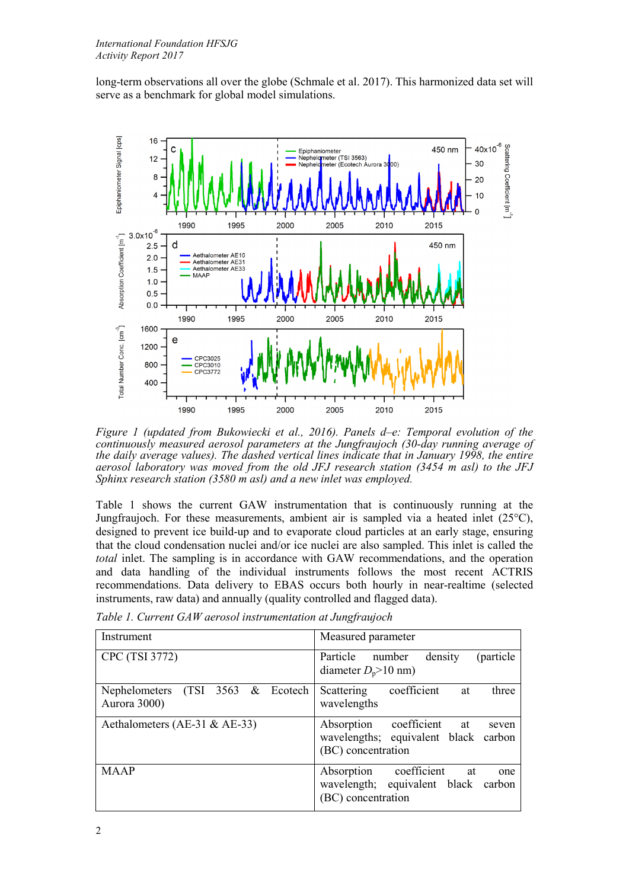long-term observations all over the globe (Schmale et al. 2017). This harmonized data set will serve as a benchmark for global model simulations.



*Figure 1 (updated from Bukowiecki et al., 2016). Panels d–e: Temporal evolution of the continuously measured aerosol parameters at the Jungfraujoch (30-day running average of the daily average values). The dashed vertical lines indicate that in January 1998, the entire aerosol laboratory was moved from the old JFJ research station (3454 m asl) to the JFJ Sphinx research station (3580 m asl) and a new inlet was employed.*

Table 1 shows the current GAW instrumentation that is continuously running at the Jungfraujoch. For these measurements, ambient air is sampled via a heated inlet  $(25^{\circ}C)$ , designed to prevent ice build-up and to evaporate cloud particles at an early stage, ensuring that the cloud condensation nuclei and/or ice nuclei are also sampled. This inlet is called the *total* inlet. The sampling is in accordance with GAW recommendations, and the operation and data handling of the individual instruments follows the most recent ACTRIS recommendations. Data delivery to EBAS occurs both hourly in near-realtime (selected instruments, raw data) and annually (quality controlled and flagged data).

*Table 1. Current GAW aerosol instrumentation at Jungfraujoch*

| Instrument                                                                  | Measured parameter                                                                                  |
|-----------------------------------------------------------------------------|-----------------------------------------------------------------------------------------------------|
| CPC (TSI 3772)                                                              | density<br>(particle)<br>Particle number<br>diameter $D_p$ >10 nm)                                  |
| $(TSI \quad 3563 \quad & \text{Ecotechn})$<br>Nephelometers<br>Aurora 3000) | Scattering coefficient<br>three<br>at<br>wavelengths                                                |
| Aethalometers (AE-31 & AE-33)                                               | Absorption coefficient<br>at<br>seven<br>wavelengths; equivalent black carbon<br>(BC) concentration |
| <b>MAAP</b>                                                                 | Absorption coefficient<br>at<br>one<br>wavelength; equivalent black carbon<br>(BC) concentration    |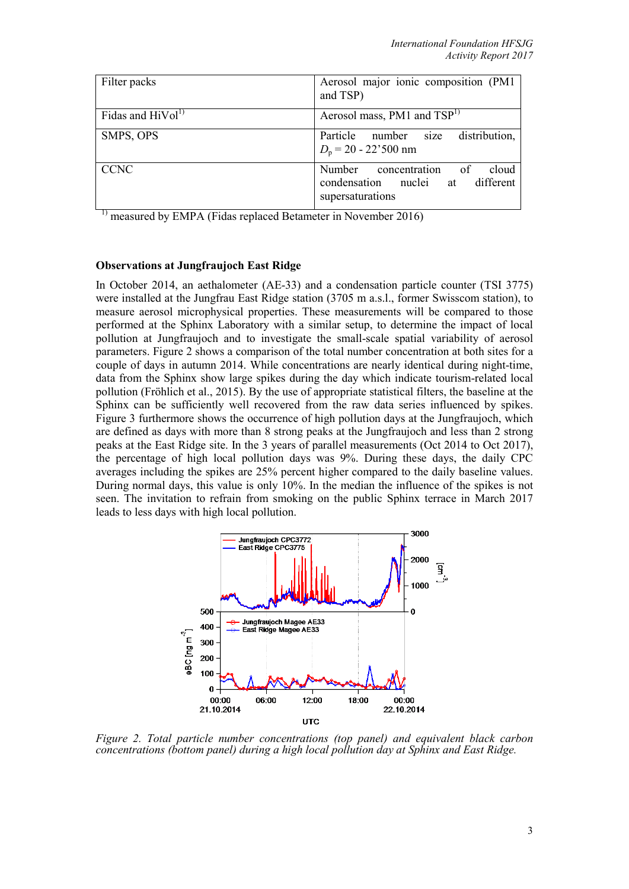| Filter packs                  | Aerosol major ionic composition (PM1<br>and TSP)                                         |
|-------------------------------|------------------------------------------------------------------------------------------|
| Fidas and HiVol <sup>1)</sup> | Aerosol mass, PM1 and TSP <sup>1)</sup>                                                  |
| SMPS, OPS                     | Particle number size distribution,<br>$D_p = 20 - 22^{\circ}500$ nm                      |
| <b>CCNC</b>                   | Number concentration of<br>cloud<br>condensation nuclei at different<br>supersaturations |

measured by EMPA (Fidas replaced Betameter in November 2016)

## **Observations at Jungfraujoch East Ridge**

In October 2014, an aethalometer (AE-33) and a condensation particle counter (TSI 3775) were installed at the Jungfrau East Ridge station (3705 m a.s.l., former Swisscom station), to measure aerosol microphysical properties. These measurements will be compared to those performed at the Sphinx Laboratory with a similar setup, to determine the impact of local pollution at Jungfraujoch and to investigate the small-scale spatial variability of aerosol parameters. Figure 2 shows a comparison of the total number concentration at both sites for a couple of days in autumn 2014. While concentrations are nearly identical during night-time, data from the Sphinx show large spikes during the day which indicate tourism-related local pollution (Fröhlich et al., 2015). By the use of appropriate statistical filters, the baseline at the Sphinx can be sufficiently well recovered from the raw data series influenced by spikes. Figure 3 furthermore shows the occurrence of high pollution days at the Jungfraujoch, which are defined as days with more than 8 strong peaks at the Jungfraujoch and less than 2 strong peaks at the East Ridge site. In the 3 years of parallel measurements (Oct 2014 to Oct 2017), the percentage of high local pollution days was 9%. During these days, the daily CPC averages including the spikes are 25% percent higher compared to the daily baseline values. During normal days, this value is only 10%. In the median the influence of the spikes is not seen. The invitation to refrain from smoking on the public Sphinx terrace in March 2017 leads to less days with high local pollution.



*Figure 2. Total particle number concentrations (top panel) and equivalent black carbon concentrations (bottom panel) during a high local pollution day at Sphinx and East Ridge.*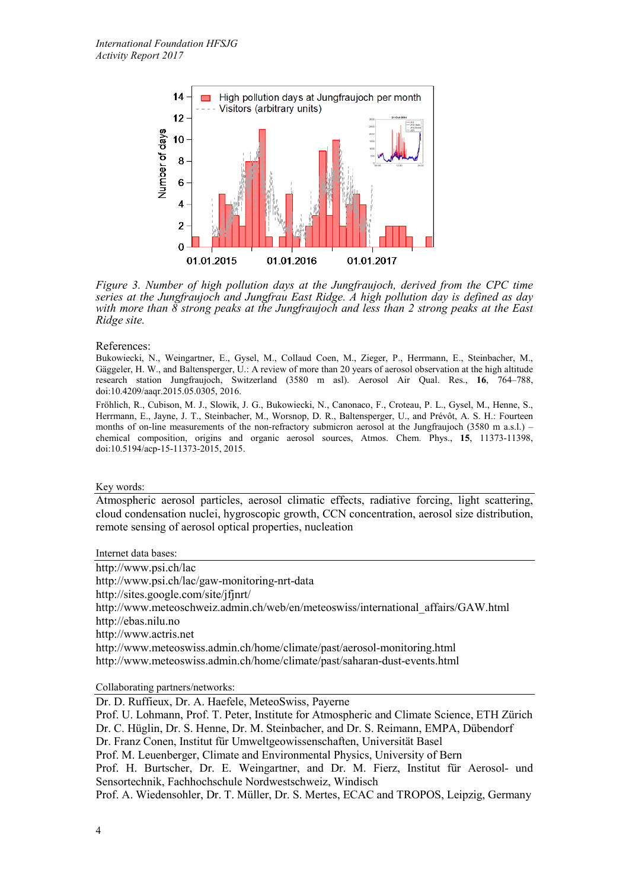

*Figure 3. Number of high pollution days at the Jungfraujoch, derived from the CPC time series at the Jungfraujoch and Jungfrau East Ridge. A high pollution day is defined as day with more than 8 strong peaks at the Jungfraujoch and less than 2 strong peaks at the East Ridge site.*

#### References:

Bukowiecki, N., Weingartner, E., Gysel, M., Collaud Coen, M., Zieger, P., Herrmann, E., Steinbacher, M., Gäggeler, H. W., and Baltensperger, U.: A review of more than 20 years of aerosol observation at the high altitude research station Jungfraujoch, Switzerland (3580 m asl). Aerosol Air Qual. Res., **16**, 764–788, doi:10.4209/aaqr.2015.05.0305, 2016.

Fröhlich, R., Cubison, M. J., Slowik, J. G., Bukowiecki, N., Canonaco, F., Croteau, P. L., Gysel, M., Henne, S., Herrmann, E., Jayne, J. T., Steinbacher, M., Worsnop, D. R., Baltensperger, U., and Prévôt, A. S. H.: Fourteen months of on-line measurements of the non-refractory submicron aerosol at the Jungfraujoch (3580 m a.s.l.) – chemical composition, origins and organic aerosol sources, Atmos. Chem. Phys., **15**, 11373-11398, doi:10.5194/acp-15-11373-2015, 2015.

#### Key words:

Atmospheric aerosol particles, aerosol climatic effects, radiative forcing, light scattering, cloud condensation nuclei, hygroscopic growth, CCN concentration, aerosol size distribution, remote sensing of aerosol optical properties, nucleation

Internet data bases:

http://www.psi.ch/lac http://www.psi.ch/lac/gaw-monitoring-nrt-data http://sites.google.com/site/jfjnrt/ http://www.meteoschweiz.admin.ch/web/en/meteoswiss/international\_affairs/GAW.html http://ebas.nilu.no http://www.actris.net http://www.meteoswiss.admin.ch/home/climate/past/aerosol-monitoring.html http://www.meteoswiss.admin.ch/home/climate/past/saharan-dust-events.html

Collaborating partners/networks:

Dr. D. Ruffieux, Dr. A. Haefele, MeteoSwiss, Payerne

Prof. U. Lohmann, Prof. T. Peter, Institute for Atmospheric and Climate Science, ETH Zürich Dr. C. Hüglin, Dr. S. Henne, Dr. M. Steinbacher, and Dr. S. Reimann, EMPA, Dübendorf Dr. Franz Conen, Institut für Umweltgeowissenschaften, Universität Basel Prof. M. Leuenberger, Climate and Environmental Physics, University of Bern Prof. H. Burtscher, Dr. E. Weingartner, and Dr. M. Fierz, Institut für Aerosol- und Sensortechnik, Fachhochschule Nordwestschweiz, Windisch Prof. A. Wiedensohler, Dr. T. Müller, Dr. S. Mertes, ECAC and TROPOS, Leipzig, Germany